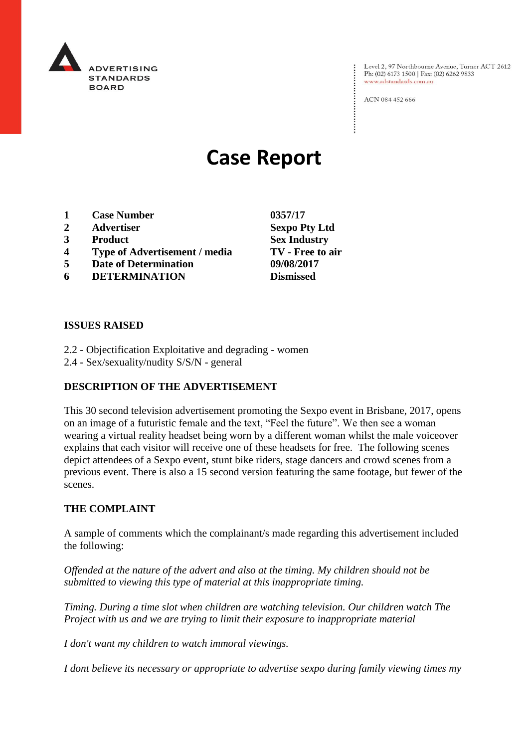

Level 2, 97 Northbourne Avenue, Turner ACT 2612 Ph: (02) 6173 1500 | Fax: (02) 6262 9833 www.adstandards.com.au

ACN 084 452 666

# **Case Report**

- **1 Case Number 0357/17**
- **2 Advertiser Sexpo Pty Ltd**
- **3 Product Sex Industry**
- **4 Type of Advertisement / media TV - Free to air**
- **5 Date of Determination 09/08/2017**
- **6 DETERMINATION Dismissed**

**ISSUES RAISED**

- 2.2 Objectification Exploitative and degrading women
- 2.4 Sex/sexuality/nudity S/S/N general

### **DESCRIPTION OF THE ADVERTISEMENT**

This 30 second television advertisement promoting the Sexpo event in Brisbane, 2017, opens on an image of a futuristic female and the text, "Feel the future". We then see a woman wearing a virtual reality headset being worn by a different woman whilst the male voiceover explains that each visitor will receive one of these headsets for free. The following scenes depict attendees of a Sexpo event, stunt bike riders, stage dancers and crowd scenes from a previous event. There is also a 15 second version featuring the same footage, but fewer of the scenes.

### **THE COMPLAINT**

A sample of comments which the complainant/s made regarding this advertisement included the following:

*Offended at the nature of the advert and also at the timing. My children should not be submitted to viewing this type of material at this inappropriate timing.*

*Timing. During a time slot when children are watching television. Our children watch The Project with us and we are trying to limit their exposure to inappropriate material*

*I don't want my children to watch immoral viewings.*

*I dont believe its necessary or appropriate to advertise sexpo during family viewing times my*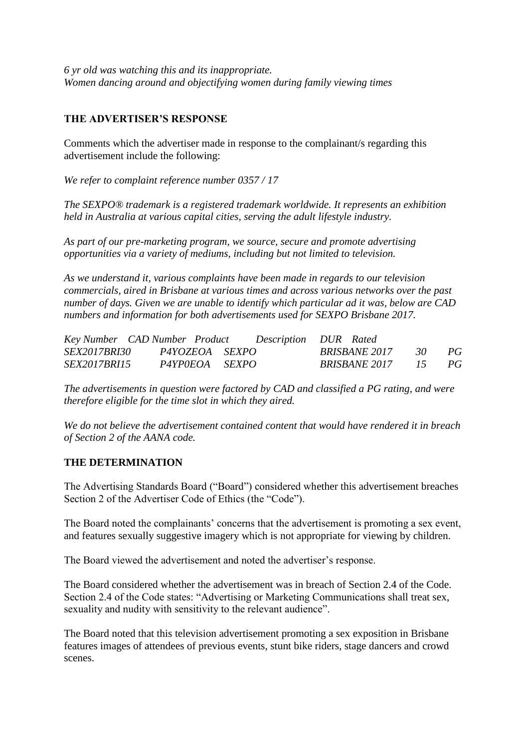*6 yr old was watching this and its inappropriate. Women dancing around and objectifying women during family viewing times*

## **THE ADVERTISER'S RESPONSE**

Comments which the advertiser made in response to the complainant/s regarding this advertisement include the following:

*We refer to complaint reference number 0357 / 17*

*The SEXPO® trademark is a registered trademark worldwide. It represents an exhibition held in Australia at various capital cities, serving the adult lifestyle industry.*

*As part of our pre-marketing program, we source, secure and promote advertising opportunities via a variety of mediums, including but not limited to television.*

*As we understand it, various complaints have been made in regards to our television commercials, aired in Brisbane at various times and across various networks over the past number of days. Given we are unable to identify which particular ad it was, below are CAD numbers and information for both advertisements used for SEXPO Brisbane 2017.*

|                     | Key Number CAD Number Product |                | Description DUR Rated |       |    |
|---------------------|-------------------------------|----------------|-----------------------|-------|----|
| <i>SEX2017BRI30</i> |                               | P4YOZEOA SEXPO | <i>BRISBANE 2017</i>  | - 30- | PG |
| <i>SEX2017BRI15</i> |                               | P4YPOEOA SEXPO | BRISBANE 2017 15 PG   |       |    |

*The advertisements in question were factored by CAD and classified a PG rating, and were therefore eligible for the time slot in which they aired.*

*We do not believe the advertisement contained content that would have rendered it in breach of Section 2 of the AANA code.*

#### **THE DETERMINATION**

The Advertising Standards Board ("Board") considered whether this advertisement breaches Section 2 of the Advertiser Code of Ethics (the "Code").

The Board noted the complainants' concerns that the advertisement is promoting a sex event, and features sexually suggestive imagery which is not appropriate for viewing by children.

The Board viewed the advertisement and noted the advertiser's response.

The Board considered whether the advertisement was in breach of Section 2.4 of the Code. Section 2.4 of the Code states: "Advertising or Marketing Communications shall treat sex, sexuality and nudity with sensitivity to the relevant audience".

The Board noted that this television advertisement promoting a sex exposition in Brisbane features images of attendees of previous events, stunt bike riders, stage dancers and crowd scenes.